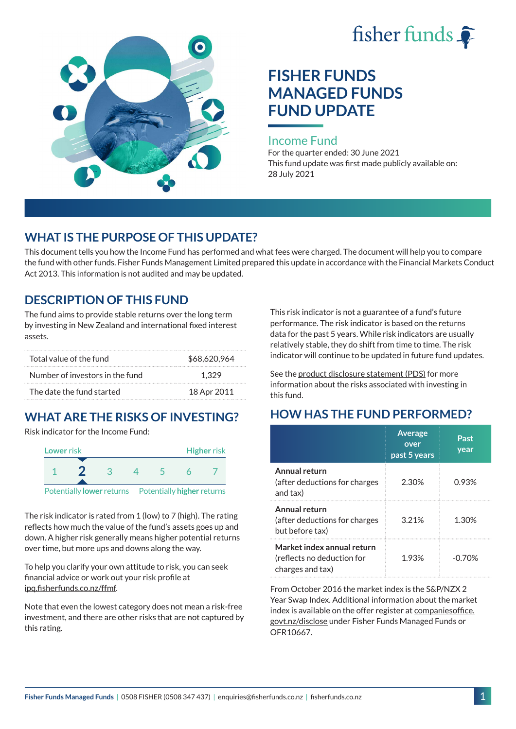



# **FISHER FUNDS MANAGED FUNDS FUND UPDATE**

#### Income Fund

For the quarter ended: 30 June 2021 This fund update was first made publicly available on: 28 July 2021

## **WHAT IS THE PURPOSE OF THIS UPDATE?**

This document tells you how the Income Fund has performed and what fees were charged. The document will help you to compare the fund with other funds. Fisher Funds Management Limited prepared this update in accordance with the Financial Markets Conduct Act 2013. This information is not audited and may be updated.

## **DESCRIPTION OF THIS FUND**

The fund aims to provide stable returns over the long term by investing in New Zealand and international fixed interest assets.

| Total value of the fund         | \$68,620,964 |
|---------------------------------|--------------|
| Number of investors in the fund | 1.329        |
| The date the fund started       | 18 Apr 2011  |

## **WHAT ARE THE RISKS OF INVESTING?**

Risk indicator for the Income Fund:



The risk indicator is rated from 1 (low) to 7 (high). The rating reflects how much the value of the fund's assets goes up and down. A higher risk generally means higher potential returns over time, but more ups and downs along the way.

To help you clarify your own attitude to risk, you can seek financial advice or work out your risk profile at [ipq.fisherfunds.co.nz/ffmf](https://ipq.fisherfunds.co.nz/ffmf).

Note that even the lowest category does not mean a risk-free investment, and there are other risks that are not captured by this rating.

This risk indicator is not a guarantee of a fund's future performance. The risk indicator is based on the returns data for the past 5 years. While risk indicators are usually relatively stable, they do shift from time to time. The risk indicator will continue to be updated in future fund updates.

See the [product disclosure statement \(PDS\)](https://fisherfunds.co.nz/assets/PDS/Fisher-Funds-Managed-Funds-PDS.pdf) for more information about the risks associated with investing in this fund.

## **HOW HAS THE FUND PERFORMED?**

|                                                                              | <b>Average</b><br>over<br>past 5 years | Past<br>year |
|------------------------------------------------------------------------------|----------------------------------------|--------------|
| Annual return<br>(after deductions for charges<br>and tax)                   | 2.30%                                  | 0.93%        |
| Annual return<br>(after deductions for charges<br>but before tax)            | 3.21%                                  | 1.30%        |
| Market index annual return<br>(reflects no deduction for<br>charges and tax) | 1.93%                                  | -0 70%       |

From October 2016 the market index is the S&P/NZX 2 Year Swap Index. Additional information about the market index is available on the offer register at [companiesoffice.](http://companiesoffice.govt.nz/disclose) [govt.nz/disclose](http://companiesoffice.govt.nz/disclose) under Fisher Funds Managed Funds or OFR10667.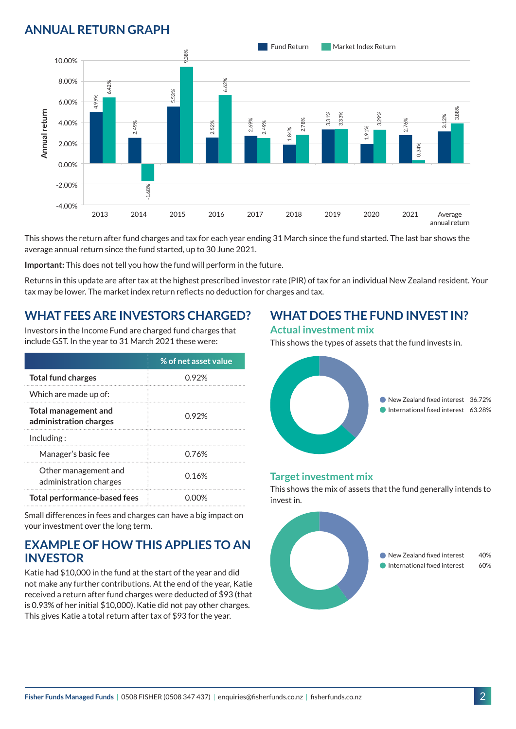## **ANNUAL RETURN GRAPH**



This shows the return after fund charges and tax for each year ending 31 March since the fund started. The last bar shows the average annual return since the fund started, up to 30 June 2021.

**Important:** This does not tell you how the fund will perform in the future.

Returns in this update are after tax at the highest prescribed investor rate (PIR) of tax for an individual New Zealand resident. Your tax may be lower. The market index return reflects no deduction for charges and tax.

### **WHAT FEES ARE INVESTORS CHARGED?**

Investors in the Income Fund are charged fund charges that include GST. In the year to 31 March 2021 these were:

|                                                | % of net asset value |  |
|------------------------------------------------|----------------------|--|
| <b>Total fund charges</b>                      | 0.92%                |  |
| Which are made up of:                          |                      |  |
| Total management and<br>administration charges | በ 92%                |  |
| Inding:                                        |                      |  |
| Manager's basic fee                            | 0.76%                |  |
| Other management and<br>administration charges | 0.16%                |  |
| <b>Total performance-based fees</b>            |                      |  |

Small differences in fees and charges can have a big impact on your investment over the long term.

#### **EXAMPLE OF HOW THIS APPLIES TO AN INVESTOR**

Katie had \$10,000 in the fund at the start of the year and did not make any further contributions. At the end of the year, Katie received a return after fund charges were deducted of \$93 (that is 0.93% of her initial \$10,000). Katie did not pay other charges. This gives Katie a total return after tax of \$93 for the year.

## **WHAT DOES THE FUND INVEST IN?**

#### **Actual investment mix**

This shows the types of assets that the fund invests in.



#### **Target investment mix**

This shows the mix of assets that the fund generally intends to invest in.